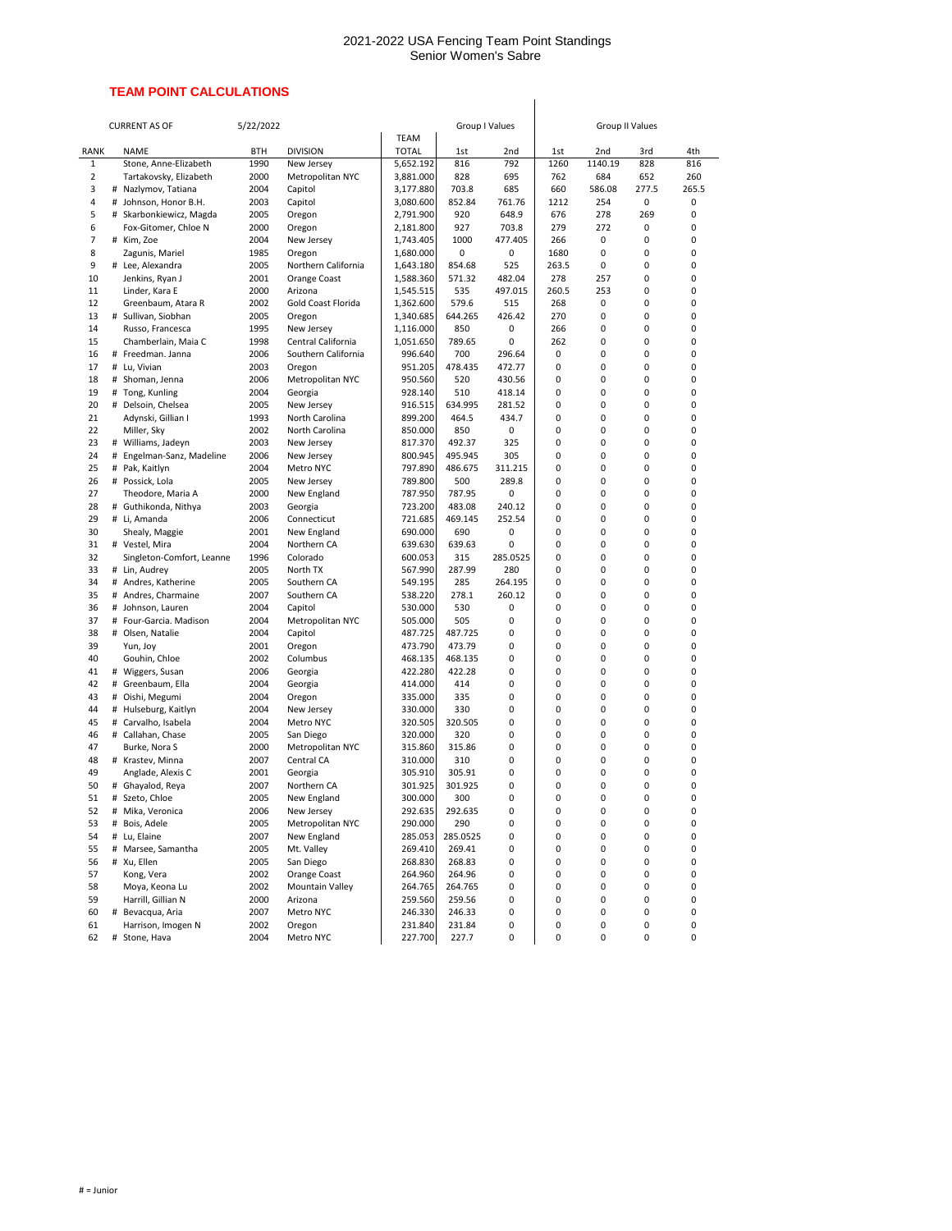## **TEAM POINT CALCULATIONS**

|                |   | <b>CURRENT AS OF</b>              | 5/22/2022    |                           |                             | Group I Values    |          |        | <b>Group II Values</b> |        |          |
|----------------|---|-----------------------------------|--------------|---------------------------|-----------------------------|-------------------|----------|--------|------------------------|--------|----------|
| <b>RANK</b>    |   | <b>NAME</b>                       | <b>BTH</b>   | <b>DIVISION</b>           | <b>TEAM</b><br><b>TOTAL</b> | 1st               | 2nd      | 1st    | 2nd                    | 3rd    | 4th      |
| $\mathbf{1}$   |   | Stone, Anne-Elizabeth             | 1990         | New Jersey                | 5,652.192                   | 816               | 792      | 1260   | 1140.19                | 828    | 816      |
| $\overline{2}$ |   | Tartakovsky, Elizabeth            | 2000         | Metropolitan NYC          | 3,881.000                   | 828               | 695      | 762    | 684                    | 652    | 260      |
| 3              |   | # Nazlymov, Tatiana               | 2004         | Capitol                   | 3,177.880                   | 703.8             | 685      | 660    | 586.08                 | 277.5  | 265.5    |
| 4              |   | # Johnson, Honor B.H.             | 2003         | Capitol                   | 3,080.600                   | 852.84            | 761.76   | 1212   | 254                    | 0      | 0        |
| 5              | # | Skarbonkiewicz, Magda             | 2005         | Oregon                    | 2,791.900                   | 920               | 648.9    | 676    | 278                    | 269    | 0        |
| 6              |   | Fox-Gitomer, Chloe N              | 2000         | Oregon                    | 2,181.800                   | 927               | 703.8    | 279    | 272                    | 0      | 0        |
| 7              |   | # Kim, Zoe                        | 2004         | New Jersey                | 1,743.405                   | 1000              | 477.405  | 266    | 0                      | 0      | 0        |
| 8              |   | Zagunis, Mariel                   | 1985         | Oregon                    | 1,680.000                   | 0                 | 0        | 1680   | 0                      | 0      | 0        |
| 9              |   | # Lee, Alexandra                  | 2005         | Northern California       | 1,643.180                   | 854.68            | 525      | 263.5  | 0                      | 0      | 0        |
| 10             |   | Jenkins, Ryan J                   | 2001         | Orange Coast              | 1,588.360                   | 571.32            | 482.04   | 278    | 257                    | 0      | 0        |
| 11             |   | Linder, Kara E                    | 2000         | Arizona                   | 1,545.515                   | 535               | 497.015  | 260.5  | 253                    | 0      | 0        |
| 12             |   | Greenbaum, Atara R                | 2002         | <b>Gold Coast Florida</b> | 1,362.600                   | 579.6             | 515      | 268    | 0                      | 0      | 0        |
| 13             |   | # Sullivan, Siobhan               | 2005         | Oregon                    | 1,340.685                   | 644.265           | 426.42   | 270    | 0                      | 0      | $\Omega$ |
| 14             |   | Russo, Francesca                  | 1995         | New Jersey                | 1,116.000                   | 850               | 0        | 266    | 0                      | 0      | 0        |
| 15             |   | Chamberlain, Maia C               | 1998         | Central California        | 1,051.650                   | 789.65            | 0        | 262    | 0                      | 0      | 0        |
| 16             |   | # Freedman. Janna                 | 2006         | Southern California       | 996.640                     | 700               | 296.64   | 0      | 0                      | 0      | 0        |
| 17             |   | # Lu, Vivian                      | 2003         | Oregon                    | 951.205                     | 478.435           | 472.77   | 0      | 0                      | 0      | 0        |
| 18             |   | # Shoman, Jenna                   | 2006         | Metropolitan NYC          | 950.560                     | 520               | 430.56   | 0      | 0                      | 0      | 0        |
| 19             |   | # Tong, Kunling                   | 2004         | Georgia                   | 928.140                     | 510               | 418.14   | 0      | 0                      | 0      | 0        |
| 20             |   | # Delsoin, Chelsea                | 2005         | New Jersey                | 916.515                     | 634.995           | 281.52   | 0      | 0                      | 0      | 0        |
| 21             |   | Adynski, Gillian I                | 1993         | North Carolina            | 899.200                     | 464.5             | 434.7    | 0      | 0                      | 0      | 0        |
| 22             |   | Miller, Sky                       | 2002         | North Carolina            | 850.000                     | 850               | 0        | 0      | 0                      | 0      | 0        |
| 23             |   | # Williams, Jadeyn                | 2003         | New Jersey                | 817.370                     | 492.37            | 325      | 0      | 0                      | 0      | 0        |
| 24             |   | # Engelman-Sanz, Madeline         | 2006         | New Jersey                | 800.945                     | 495.945           | 305      | 0      | 0                      | 0      | 0        |
| 25             |   | # Pak, Kaitlyn                    | 2004         | Metro NYC                 | 797.890                     | 486.675           | 311.215  | 0      | 0                      | 0      | 0        |
| 26             |   | # Possick, Lola                   | 2005         | New Jersey                | 789.800                     | 500               | 289.8    | 0      | 0                      | 0      | 0        |
| 27             |   | Theodore, Maria A                 | 2000         | New England               | 787.950                     | 787.95            | 0        | 0      | 0                      | 0      | 0        |
| 28             | # | Guthikonda, Nithya                | 2003         | Georgia                   | 723.200                     | 483.08            | 240.12   | 0      | 0                      | 0      | 0        |
| 29             |   | # Li, Amanda                      | 2006         | Connecticut               | 721.685                     | 469.145           | 252.54   | 0      | 0                      | 0      |          |
| 30             |   | Shealy, Maggie                    | 2001         | New England               | 690.000                     | 690               | 0        | 0      | 0                      | 0      | O        |
| 31             |   | # Vestel, Mira                    | 2004         | Northern CA               | 639.630                     | 639.63            | 0        | 0      | 0                      | 0      | U        |
| 32             |   | Singleton-Comfort, Leanne         | 1996         | Colorado                  | 600.053                     | 315               | 285.0525 | 0      | 0                      | 0      |          |
| 33             |   | # Lin, Audrey                     | 2005         | North TX                  | 567.990                     | 287.99            | 280      | 0      | 0                      | 0      | U        |
| 34             |   | # Andres, Katherine               | 2005         | Southern CA               | 549.195                     | 285               | 264.195  | 0      | 0                      | 0      |          |
| 35             |   | # Andres, Charmaine               | 2007         | Southern CA               | 538.220                     | 278.1             | 260.12   | 0      | 0                      | 0      |          |
| 36             |   | # Johnson, Lauren                 | 2004         | Capitol                   | 530.000                     | 530               | 0        | 0      | 0                      | 0      |          |
| 37             |   | # Four-Garcia. Madison            | 2004         | Metropolitan NYC          | 505.000                     | 505               | 0        | 0      | 0                      | 0      |          |
| 38             |   | # Olsen, Natalie                  | 2004         | Capitol                   | 487.725                     | 487.725           | 0        | 0      | 0                      | 0      | U        |
| 39<br>40       |   | Yun, Joy                          | 2001         | Oregon<br>Columbus        | 473.790<br>468.135          | 473.79<br>468.135 | 0        | 0<br>0 | 0                      | 0      | O        |
| 41             |   | Gouhin, Chloe<br># Wiggers, Susan | 2002<br>2006 | Georgia                   | 422.280                     | 422.28            | 0<br>0   | 0      | 0<br>0                 | 0<br>0 | O        |
| 42             |   | # Greenbaum, Ella                 | 2004         | Georgia                   | 414.000                     | 414               | 0        | 0      | 0                      | 0      | O        |
| 43             |   | # Oishi, Megumi                   | 2004         | Oregon                    | 335.000                     | 335               | 0        | 0      | 0                      | 0      |          |
| 44             |   | # Hulseburg, Kaitlyn              | 2004         | New Jersey                | 330.000                     | 330               | 0        | 0      | 0                      | 0      |          |
| 45             |   | # Carvalho, Isabela               | 2004         | Metro NYC                 | 320.505                     | 320.505           | 0        | 0      | 0                      | 0      |          |
| 46             |   | # Callahan, Chase                 | 2005         | San Diego                 | 320.000                     | 320               | 0        | 0      | 0                      | 0      |          |
| 47             |   | Burke, Nora S                     | 2000         | Metropolitan NYC          | 315.860                     | 315.86            | 0        | 0      | 0                      | 0      | U        |
| 48             |   | # Krastev, Minna                  | 2007         | Central CA                | 310.000                     | 310               | 0        | 0      | 0                      | 0      |          |
| 49             |   | Anglade, Alexis C                 | 2001         | Georgia                   | 305.910                     | 305.91            | 0        | 0      | 0                      | 0      |          |
| 50             |   | # Ghayalod, Reya                  | 2007         | Northern CA               | 301.925                     | 301.925           | 0        | 0      | 0                      | 0      | U        |
| 51             |   | # Szeto, Chloe                    | 2005         | New England               | 300.000                     | 300               | 0        | 0      | 0                      | 0      | U        |
| 52             |   | # Mika, Veronica                  | 2006         | New Jersey                | 292.635                     | 292.635           | 0        | 0      | 0                      | 0      |          |
| 53             |   | # Bois, Adele                     | 2005         | Metropolitan NYC          | 290.000                     | 290               | 0        | 0      | 0                      | 0      | 0        |
| 54             |   | # Lu, Elaine                      | 2007         | New England               | 285.053                     | 285.0525          | 0        | 0      | 0                      | 0      | O        |
| 55             |   | # Marsee, Samantha                | 2005         | Mt. Valley                | 269.410                     | 269.41            | 0        | 0      | 0                      | 0      |          |
| 56             |   | # Xu, Ellen                       | 2005         | San Diego                 | 268.830                     | 268.83            | 0        | 0      | 0                      | 0      |          |
| 57             |   | Kong, Vera                        | 2002         | Orange Coast              | 264.960                     | 264.96            | 0        | 0      | 0                      | 0      |          |
| 58             |   | Moya, Keona Lu                    | 2002         | Mountain Valley           | 264.765                     | 264.765           | 0        | 0      | 0                      | 0      |          |
| 59             |   | Harrill, Gillian N                | 2000         | Arizona                   | 259.560                     | 259.56            | 0        | 0      | 0                      | 0      | 0        |
| 60             | # | Bevacqua, Aria                    | 2007         | Metro NYC                 | 246.330                     | 246.33            | 0        | 0      | 0                      | 0      | 0        |
| 61             |   | Harrison, Imogen N                | 2002         | Oregon                    | 231.840                     | 231.84            | 0        | 0      | 0                      | 0      | 0        |
| 62             |   | # Stone, Hava                     | 2004         | Metro NYC                 | 227.700                     | 227.7             | 0        | 0      | 0                      | 0      | 0        |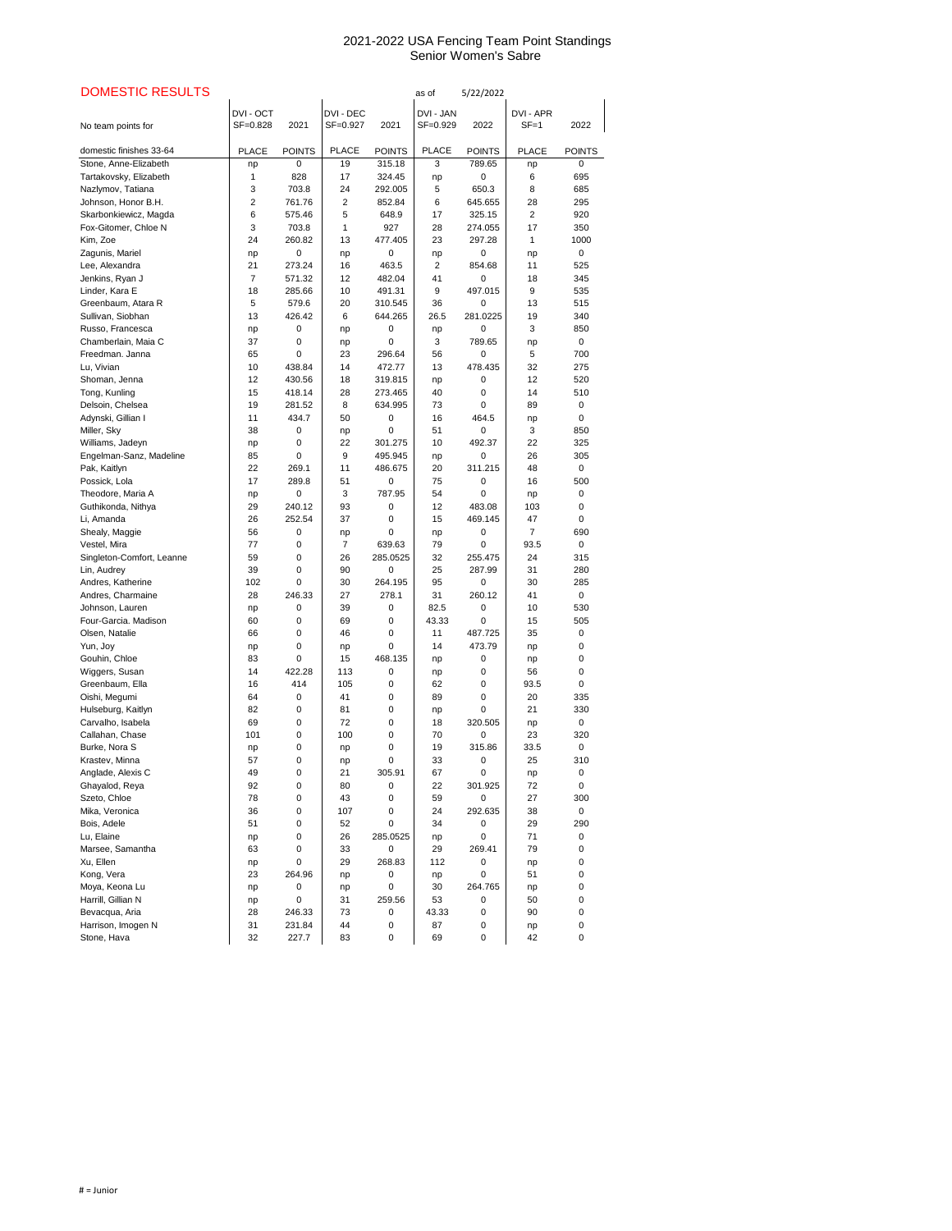| <b>DOMESTIC RESULTS</b>                 |                     |               |                       |               | as of                 | 5/22/2022          |                       |                    |
|-----------------------------------------|---------------------|---------------|-----------------------|---------------|-----------------------|--------------------|-----------------------|--------------------|
| No team points for                      | DVI-OCT<br>SF=0.828 | 2021          | DVI - DEC<br>SF=0.927 | 2021          | DVI - JAN<br>SF=0.929 | 2022               | DVI - APR<br>$SF = 1$ | 2022               |
| domestic finishes 33-64                 | <b>PLACE</b>        | <b>POINTS</b> | <b>PLACE</b>          | <b>POINTS</b> | <b>PLACE</b>          | <b>POINTS</b>      | <b>PLACE</b>          | <b>POINTS</b>      |
| Stone, Anne-Elizabeth                   | np                  | 0             | 19                    | 315.18        | 3                     | 789.65             | np                    | $\Omega$           |
| Tartakovsky, Elizabeth                  | 1                   | 828           | 17                    | 324.45        | np                    | 0                  | 6                     | 695                |
| Nazlymov, Tatiana                       | 3                   | 703.8         | 24                    | 292.005       | 5                     | 650.3              | 8                     | 685                |
| Johnson, Honor B.H.                     | $\mathbf{2}$        | 761.76        | 2                     | 852.84        | 6                     | 645.655            | 28                    | 295                |
| Skarbonkiewicz, Magda                   | 6                   | 575.46        | 5                     | 648.9         | 17                    | 325.15             | 2                     | 920                |
| Fox-Gitomer, Chloe N                    | 3                   | 703.8         | 1                     | 927           | 28                    | 274.055            | 17                    | 350                |
| Kim, Zoe                                | 24                  | 260.82        | 13                    | 477.405       | 23                    | 297.28             | 1                     | 1000               |
| Zagunis, Mariel                         | np                  | 0             | np                    | 0             | np                    | 0                  | np                    | $\mathbf 0$        |
| Lee, Alexandra                          | 21                  | 273.24        | 16                    | 463.5         | 2                     | 854.68             | 11                    | 525                |
| Jenkins, Ryan J                         | 7                   | 571.32        | 12                    | 482.04        | 41                    | 0                  | 18                    | 345                |
| Linder, Kara E                          | 18                  | 285.66        | 10                    | 491.31        | 9                     | 497.015            | 9                     | 535                |
| Greenbaum, Atara R                      | 5                   | 579.6         | 20                    | 310.545       | 36                    | 0                  | 13                    | 515                |
| Sullivan, Siobhan                       | 13                  | 426.42        | 6                     | 644.265       | 26.5                  | 281.0225           | 19                    | 340                |
| Russo, Francesca<br>Chamberlain, Maia C | np<br>37            | 0             | np                    | 0<br>0        | np                    | $\Omega$<br>789.65 | 3                     | 850<br>$\mathbf 0$ |
| Freedman. Janna                         | 65                  | 0<br>0        | np<br>23              | 296.64        | 3<br>56               | 0                  | np<br>5               | 700                |
| Lu, Vivian                              | 10                  | 438.84        | 14                    | 472.77        | 13                    | 478.435            | 32                    | 275                |
| Shoman, Jenna                           | 12                  | 430.56        | 18                    | 319.815       | np                    | 0                  | 12                    | 520                |
| Tong, Kunling                           | 15                  | 418.14        | 28                    | 273.465       | 40                    | 0                  | 14                    | 510                |
| Delsoin, Chelsea                        | 19                  | 281.52        | 8                     | 634.995       | 73                    | 0                  | 89                    | 0                  |
| Adynski, Gillian I                      | 11                  | 434.7         | 50                    | 0             | 16                    | 464.5              | np                    | $\Omega$           |
| Miller, Sky                             | 38                  | 0             | np                    | 0             | 51                    | 0                  | 3                     | 850                |
| Williams, Jadeyn                        | np                  | 0             | 22                    | 301.275       | 10                    | 492.37             | 22                    | 325                |
| Engelman-Sanz, Madeline                 | 85                  | 0             | 9                     | 495.945       | np                    | 0                  | 26                    | 305                |
| Pak, Kaitlyn                            | 22                  | 269.1         | 11                    | 486.675       | 20                    | 311.215            | 48                    | $\mathbf 0$        |
| Possick, Lola                           | 17                  | 289.8         | 51                    | 0             | 75                    | 0                  | 16                    | 500                |
| Theodore, Maria A                       | np                  | 0             | 3                     | 787.95        | 54                    | 0                  | np                    | 0                  |
| Guthikonda, Nithya                      | 29                  | 240.12        | 93                    | 0             | 12                    | 483.08             | 103                   | 0                  |
| Li, Amanda                              | 26                  | 252.54        | 37                    | 0             | 15                    | 469.145            | 47                    | 0                  |
| Shealy, Maggie                          | 56                  | 0             | np                    | 0             | np                    | 0                  | $\overline{7}$        | 690                |
| Vestel, Mira                            | 77                  | 0             | $\overline{7}$        | 639.63        | 79                    | 0                  | 93.5                  | $\mathbf 0$        |
| Singleton-Comfort, Leanne               | 59                  | 0             | 26                    | 285.0525      | 32                    | 255.475            | 24                    | 315                |
| Lin, Audrey                             | 39                  | 0             | 90                    | 0             | 25                    | 287.99             | 31                    | 280                |
| Andres, Katherine                       | 102                 | 0             | 30                    | 264.195       | 95                    | 0                  | 30                    | 285                |
| Andres, Charmaine                       | 28                  | 246.33        | 27                    | 278.1         | 31                    | 260.12             | 41                    | $\mathbf 0$        |
| Johnson, Lauren                         | np                  | 0             | 39                    | 0             | 82.5                  | 0                  | 10                    | 530                |
| Four-Garcia. Madison                    | 60                  | 0             | 69                    | 0             | 43.33                 | 0                  | 15                    | 505                |
| Olsen, Natalie                          | 66                  | 0             | 46                    | 0             | 11                    | 487.725            | 35                    | 0                  |
| Yun, Joy<br>Gouhin, Chloe               | np<br>83            | 0<br>0        | np<br>15              | 0<br>468.135  | 14                    | 473.79<br>0        | np                    | 0<br>0             |
| Wiggers, Susan                          | 14                  | 422.28        | 113                   | 0             | np<br>np              | 0                  | np<br>56              | 0                  |
| Greenbaum, Ella                         | 16                  | 414           | 105                   | 0             | 62                    | 0                  | 93.5                  | 0                  |
| Oishi, Megumi                           | 64                  | 0             | 41                    | 0             | 89                    | 0                  | 20                    | 335                |
| Hulseburg, Kaitlyn                      | 82                  | 0             | 81                    | 0             | np                    | 0                  | 21                    | 330                |
| Carvalho, Isabela                       | 69                  | 0             | 72                    | 0             | 18                    | 320.505            | np                    | 0                  |
| Callahan, Chase                         | 101                 | 0             | 100                   | 0             | 70                    | 0                  | 23                    | 320                |
| Burke, Nora S                           | np                  | 0             | np                    | 0             | 19                    | 315.86             | 33.5                  | $\mathbf 0$        |
| Krastev, Minna                          | 57                  | 0             | np                    | 0             | 33                    | 0                  | 25                    | 310                |
| Anglade, Alexis C                       | 49                  | 0             | 21                    | 305.91        | 67                    | 0                  | np                    | 0                  |
| Ghayalod, Reya                          | 92                  | 0             | 80                    | 0             | 22                    | 301.925            | 72                    | 0                  |
| Szeto, Chloe                            | 78                  | 0             | 43                    | 0             | 59                    | 0                  | 27                    | 300                |
| Mika, Veronica                          | 36                  | 0             | 107                   | 0             | 24                    | 292.635            | 38                    | 0                  |
| Bois, Adele                             | 51                  | 0             | 52                    | 0             | 34                    | 0                  | 29                    | 290                |
| Lu, Elaine                              | np                  | 0             | 26                    | 285.0525      | np                    | 0                  | 71                    | 0                  |
| Marsee, Samantha                        | 63                  | 0             | 33                    | 0             | 29                    | 269.41             | 79                    | 0                  |
| Xu, Ellen                               | np                  | 0             | 29                    | 268.83        | 112                   | 0                  | np                    | 0                  |
| Kong, Vera                              | 23                  | 264.96        | np                    | 0             | np                    | 0                  | 51                    | 0                  |
| Moya, Keona Lu                          | np                  | 0             | np                    | 0             | 30                    | 264.765            | np                    | 0                  |
| Harrill, Gillian N                      | np                  | 0             | 31                    | 259.56        | 53                    | 0                  | 50                    | 0                  |
| Bevacqua, Aria                          | 28                  | 246.33        | 73                    | 0             | 43.33                 | 0                  | 90                    | 0                  |
| Harrison, Imogen N                      | 31                  | 231.84        | 44                    | 0             | 87                    | 0                  | np                    | 0                  |
| Stone, Hava                             | 32                  | 227.7         | 83                    | 0             | 69                    | 0                  | 42                    | 0                  |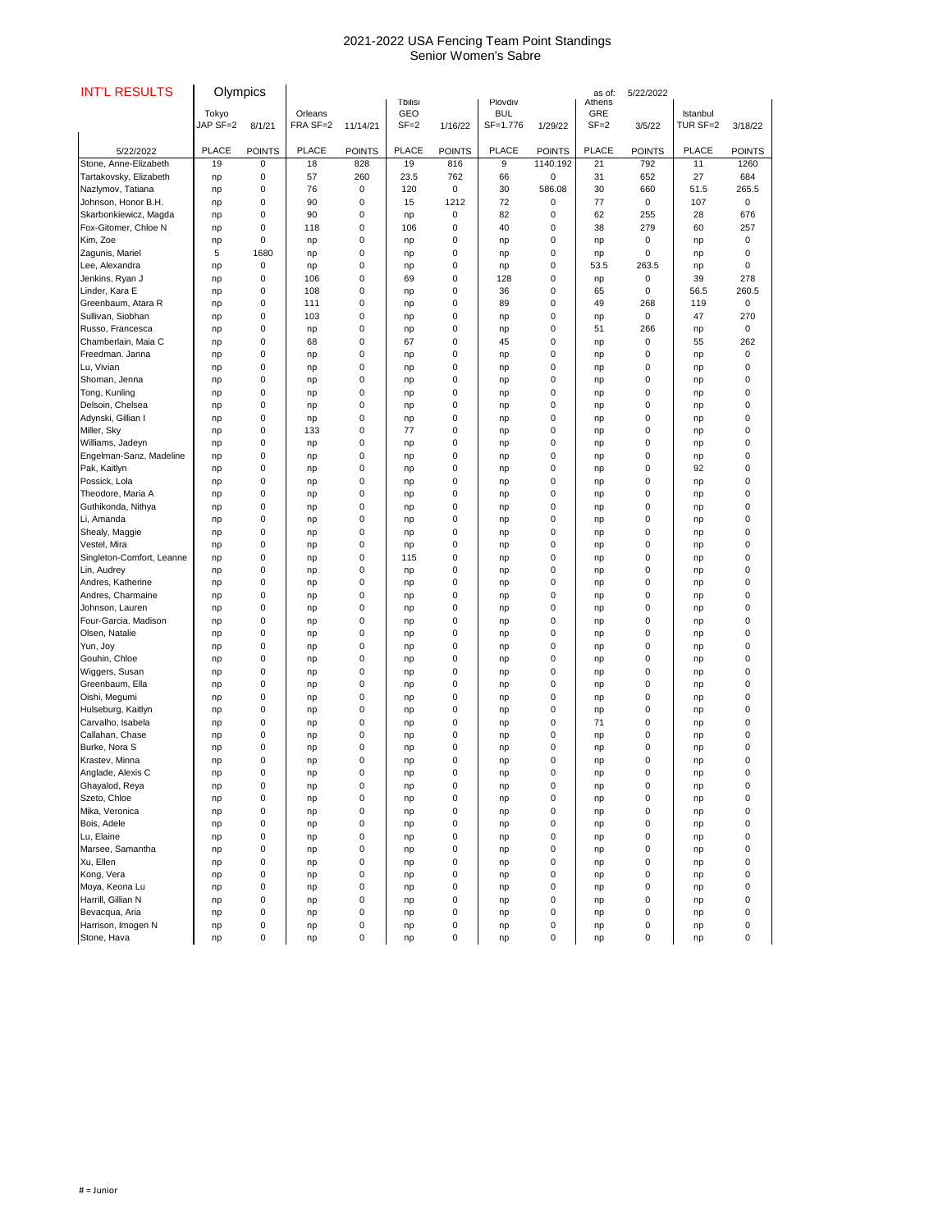| <b>INT'L RESULTS</b>              | Olympics          |               |                     |               |                                          |               |                                   |               | as of:                           | 5/22/2022     |                      |               |
|-----------------------------------|-------------------|---------------|---------------------|---------------|------------------------------------------|---------------|-----------------------------------|---------------|----------------------------------|---------------|----------------------|---------------|
|                                   | Tokyo<br>JAP SF=2 | 8/1/21        | Orleans<br>FRA SF=2 | 11/14/21      | <b>Tbilisi</b><br><b>GEO</b><br>$SF = 2$ | 1/16/22       | Plovdiv<br><b>BUL</b><br>SF=1.776 | 1/29/22       | Athens<br><b>GRE</b><br>$SF = 2$ | 3/5/22        | Istanbul<br>TUR SF=2 | 3/18/22       |
| 5/22/2022                         | <b>PLACE</b>      | <b>POINTS</b> | <b>PLACE</b>        | <b>POINTS</b> | <b>PLACE</b>                             | <b>POINTS</b> | <b>PLACE</b>                      | <b>POINTS</b> | <b>PLACE</b>                     | <b>POINTS</b> | <b>PLACE</b>         | <b>POINTS</b> |
| Stone, Anne-Elizabeth             | 19                | 0             | 18                  | 828           | 19                                       | 816           | 9                                 | 1140.192      | 21                               | 792           | 11                   | 1260          |
| Tartakovsky, Elizabeth            | np                | 0             | 57                  | 260           | 23.5                                     | 762           | 66                                | $\mathbf 0$   | 31                               | 652           | 27                   | 684           |
| Nazlymov, Tatiana                 | np                | 0             | 76                  | 0             | 120                                      | $\mathbf 0$   | 30                                | 586.08        | 30                               | 660           | 51.5                 | 265.5         |
| Johnson, Honor B.H.               | np                | 0             | 90                  | 0             | 15                                       | 1212          | 72                                | 0             | 77                               | 0             | 107                  | 0             |
| Skarbonkiewicz, Magda             | np                | 0             | 90                  | 0             | np                                       | 0             | 82                                | 0             | 62                               | 255           | 28                   | 676           |
| Fox-Gitomer, Chloe N              | np                | 0             | 118                 | 0             | 106                                      | 0             | 40                                | 0             | 38                               | 279           | 60                   | 257           |
| Kim, Zoe                          | np                | 0             | np                  | 0             | np                                       | 0             | np                                | 0             | np                               | 0             | np                   | 0             |
| Zagunis, Mariel                   | 5                 | 1680          | np                  | 0             | np                                       | 0             | np                                | $\mathbf 0$   | np                               | $\Omega$      | np                   | $\mathbf 0$   |
| Lee, Alexandra                    | np                | 0             | np                  | 0             | np                                       | 0             | np                                | 0             | 53.5                             | 263.5         | np                   | 0             |
| Jenkins, Ryan J                   | np                | 0             | 106                 | 0             | 69                                       | 0             | 128                               | 0             | np                               | 0             | 39                   | 278           |
| Linder, Kara E                    | np                | 0             | 108                 | 0             | np                                       | 0             | 36                                | 0             | 65                               | 0             | 56.5                 | 260.5         |
| Greenbaum, Atara R                | np                | 0             | 111                 | 0             | np                                       | 0             | 89                                | $\mathbf 0$   | 49                               | 268           | 119                  | 0             |
| Sullivan, Siobhan                 | np                | 0             | 103                 | 0             | np                                       | 0             | np                                | 0             | np                               | 0             | 47                   | 270           |
| Russo, Francesca                  | np                | 0             | np                  | 0             | np<br>67                                 | 0             | np                                | 0             | 51                               | 266           | np                   | $\mathbf 0$   |
| Chamberlain, Maia C               | np                | 0             | 68                  | 0             |                                          | 0             | 45                                | 0             | np                               | $\mathbf 0$   | 55                   | 262           |
| Freedman. Janna                   | np                | 0             | np                  | 0             | np                                       | 0             | np                                | 0             | np                               | 0             | np                   | 0             |
| Lu, Vivian                        | np                | 0             | np                  | 0             | np                                       | $\mathbf 0$   | np                                | 0             | np                               | 0             | np                   | 0             |
| Shoman, Jenna                     | np                | 0             | np                  | 0             | np                                       | 0             | np                                | $\mathbf 0$   | np                               | 0             | np                   | 0             |
| Tong, Kunling<br>Delsoin, Chelsea | np                | 0             | np                  | 0<br>0        | np                                       | 0<br>0        | np                                | 0             | np                               | 0             | np                   | 0<br>0        |
| Adynski, Gillian I                | np                | 0             | np                  | 0             | np                                       | 0             | np                                | 0<br>0        | np                               | 0<br>0        | np                   | 0             |
| Miller, Sky                       | np                | 0<br>0        | np<br>133           | 0             | np<br>77                                 | 0             | np                                | 0             | np                               | 0             | np                   | 0             |
| Williams, Jadeyn                  | np                | 0             |                     | 0             |                                          | 0             | np                                | 0             | np                               | 0             | np                   | 0             |
| Engelman-Sanz, Madeline           | np<br>np          | 0             | np<br>np            | 0             | np                                       | 0             | np                                | 0             | np<br>np                         | 0             | np<br>np             | 0             |
| Pak, Kaitlyn                      | np                | 0             | np                  | 0             | np<br>np                                 | 0             | np<br>np                          | 0             | np                               | 0             | 92                   | 0             |
| Possick, Lola                     |                   | 0             |                     | 0             |                                          | 0             |                                   | 0             |                                  | 0             |                      |               |
| Theodore, Maria A                 | np<br>np          | 0             | np<br>np            | 0             | np<br>np                                 | 0             | np<br>np                          | 0             | np<br>np                         | 0             | np<br>np             | O             |
| Guthikonda, Nithya                | np                | 0             | np                  | 0             | np                                       | 0             | np                                | 0             | np                               | 0             | np                   |               |
| Li, Amanda                        | np                | 0             | np                  | 0             | np                                       | 0             | np                                | 0             | np                               | 0             | np                   |               |
| Shealy, Maggie                    | np                | 0             | np                  | 0             | np                                       | 0             | np                                | 0             | np                               | 0             | np                   | O             |
| Vestel, Mira                      | np                | 0             | np                  | 0             | np                                       | 0             | np                                | 0             | np                               | 0             | np                   |               |
| Singleton-Comfort, Leanne         | np                | 0             | np                  | 0             | 115                                      | 0             | np                                | 0             | np                               | 0             | np                   |               |
| Lin, Audrey                       | np                | 0             | np                  | 0             | np                                       | 0             | np                                | 0             | np                               | 0             | np                   |               |
| Andres, Katherine                 | np                | 0             | np                  | 0             | np                                       | $\mathbf 0$   | np                                | 0             | np                               | 0             | np                   |               |
| Andres, Charmaine                 | np                | 0             | np                  | 0             | np                                       | 0             | np                                | 0             | np                               | 0             | np                   |               |
| Johnson, Lauren                   | np                | 0             | np                  | 0             | np                                       | 0             | np                                | 0             | np                               | 0             | np                   | U             |
| Four-Garcia. Madison              | np                | 0             | np                  | 0             | np                                       | $\mathbf 0$   | np                                | 0             | np                               | 0             | np                   |               |
| Olsen, Natalie                    | np                | 0             | np                  | 0             | np                                       | 0             | np                                | 0             | np                               | 0             | np                   | O             |
| Yun, Joy                          | np                | 0             | np                  | 0             | np                                       | 0             | np                                | 0             | np                               | 0             | np                   | ი             |
| Gouhin, Chloe                     | np                | 0             | np                  | 0             | np                                       | 0             | np                                | 0             | np                               | 0             | np                   |               |
| Wiggers, Susan                    | np                | 0             | np                  | 0             | np                                       | 0             | np                                | 0             | np                               | 0             | np                   |               |
| Greenbaum, Ella                   | np                | 0             | np                  | 0             | np                                       | 0             | np                                | 0             | np                               | 0             | np                   | U             |
| Oishi, Megumi                     | np                | 0             | np                  | 0             | np                                       | $\mathbf 0$   | np                                | 0             | np                               | 0             | np                   |               |
| Hulseburg, Kaitlyn                | np                | 0             | np                  | 0             | np                                       | 0             | np                                | 0             | np                               | 0             | np                   |               |
| Carvalho, Isabela                 | np                | 0             | np                  | 0             | np                                       | 0             | np                                | 0             | 71                               | 0             | np                   |               |
| Callahan, Chase                   | np                | 0             | np                  | 0             | np                                       | $\mathbf 0$   | np                                | 0             | np                               | 0             | np                   |               |
| Burke, Nora S                     | np                | 0             | np                  | 0             | np                                       | 0             | np                                | 0             | np                               | 0             | np                   |               |
| Krastev, Minna                    | np                | 0             | np                  | 0             | np                                       | 0             | np                                | 0             | np                               | 0             | np                   |               |
| Anglade, Alexis C                 | np                | 0             | np                  | 0             | np                                       | 0             | np                                | 0             | np                               | 0             | np                   |               |
| Ghayalod, Reya                    | np                | 0             | np                  | 0             | np                                       | 0             | np                                | 0             | np                               | 0             | np                   |               |
| Szeto, Chloe                      | np                | 0             | np                  | 0             | np                                       | 0             | np                                | 0             | np                               | 0             | np                   |               |
| Mika, Veronica                    | np                | 0             | np                  | 0             | np                                       | 0             | np                                | 0             | np                               | 0             | np                   |               |
| Bois, Adele                       | np                | 0             | np                  | 0             | np                                       | 0             | np                                | 0             | np                               | 0             | np                   |               |
| Lu, Elaine                        | np                | 0             | np                  | 0             | np                                       | 0             | np                                | 0             | np                               | 0             | np                   | 0             |
| Marsee, Samantha                  | np                | 0             | np                  | 0             | np                                       | 0             | np                                | 0             | np                               | 0             | np                   |               |
| Xu, Ellen                         | np                | 0             | np                  | 0             | np                                       | 0             | np                                | 0             | np                               | 0             | np                   | O             |
| Kong, Vera                        | np                | 0             | np                  | 0             | np                                       | 0             | np                                | 0             | np                               | 0             | np                   | 0             |
| Moya, Keona Lu                    | np                | U             | np                  | 0             | np                                       | 0             | np                                | 0             | np                               | 0             | np                   |               |
| Harrill, Gillian N                | np                | 0             | np                  | 0             | np                                       | 0             | np                                | 0             | np                               | 0             | np                   | 0             |
| Bevacqua, Aria                    | np                | 0             | np                  | 0             | np                                       | 0             | np                                | 0             | np                               | 0             | np                   | 0             |
| Harrison, Imogen N                | np                | 0             | np                  | 0             | np                                       | 0             | np                                | 0             | np                               | 0             | np                   | 0             |
| Stone, Hava                       | np                | 0             | np                  | $\pmb{0}$     | np                                       | 0             | np                                | 0             | np                               | 0             | np                   | $\pmb{0}$     |